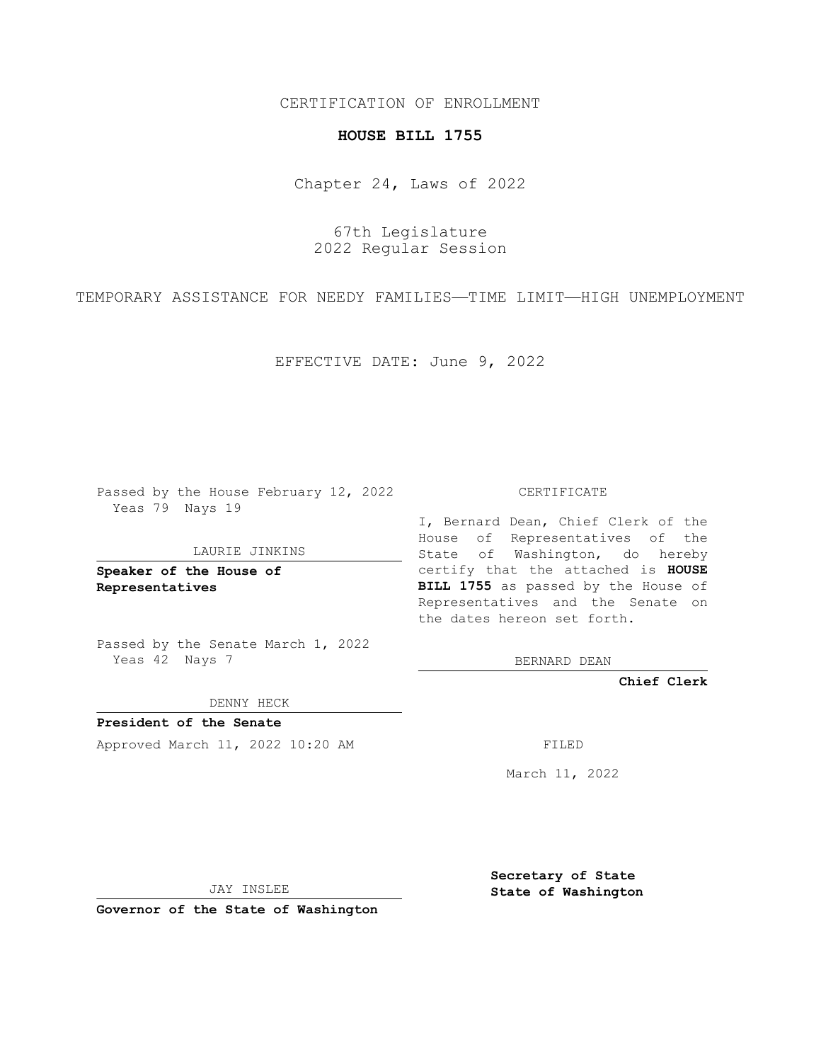CERTIFICATION OF ENROLLMENT

## **HOUSE BILL 1755**

Chapter 24, Laws of 2022

67th Legislature 2022 Regular Session

TEMPORARY ASSISTANCE FOR NEEDY FAMILIES—TIME LIMIT—HIGH UNEMPLOYMENT

EFFECTIVE DATE: June 9, 2022

Passed by the House February 12, 2022 Yeas 79 Nays 19

LAURIE JINKINS

**Speaker of the House of Representatives**

Passed by the Senate March 1, 2022 Yeas 42 Nays 7

DENNY HECK

**President of the Senate** Approved March 11, 2022 10:20 AM FILED

CERTIFICATE

I, Bernard Dean, Chief Clerk of the House of Representatives of the State of Washington, do hereby certify that the attached is **HOUSE BILL 1755** as passed by the House of Representatives and the Senate on the dates hereon set forth.

BERNARD DEAN

**Chief Clerk**

March 11, 2022

JAY INSLEE

**Governor of the State of Washington**

**Secretary of State State of Washington**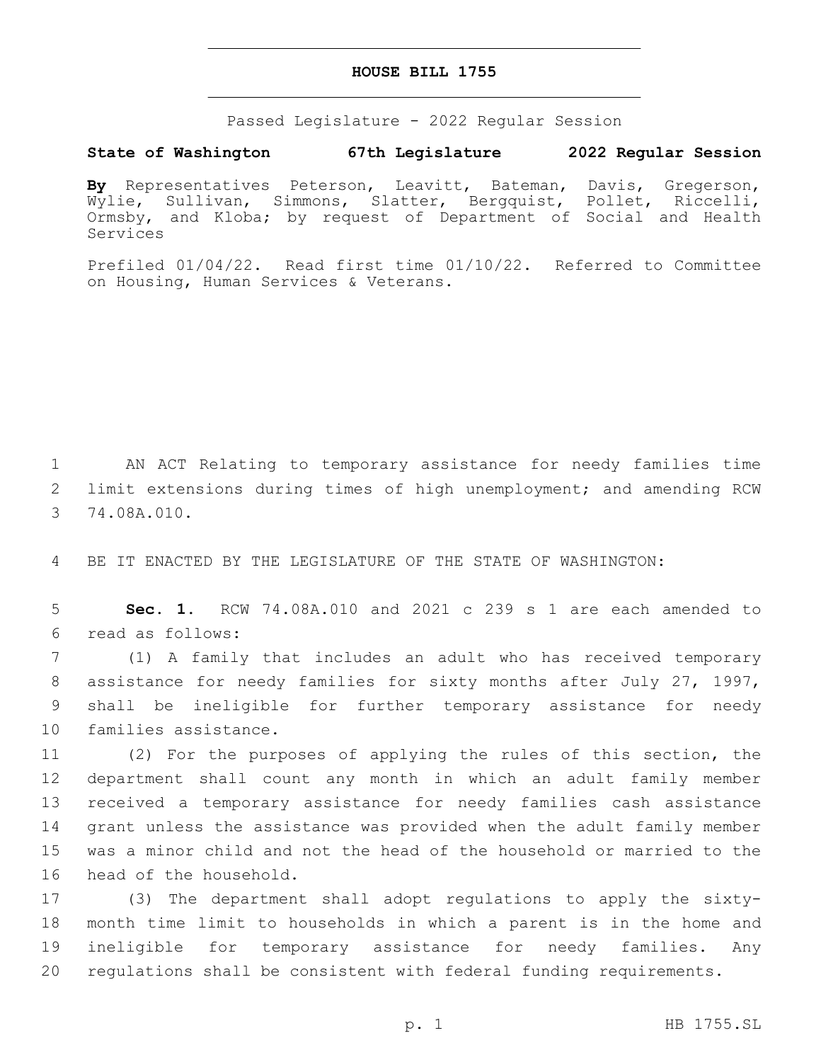## **HOUSE BILL 1755**

Passed Legislature - 2022 Regular Session

## **State of Washington 67th Legislature 2022 Regular Session**

**By** Representatives Peterson, Leavitt, Bateman, Davis, Gregerson, Wylie, Sullivan, Simmons, Slatter, Bergquist, Pollet, Riccelli, Ormsby, and Kloba; by request of Department of Social and Health Services

Prefiled 01/04/22. Read first time 01/10/22. Referred to Committee on Housing, Human Services & Veterans.

1 AN ACT Relating to temporary assistance for needy families time 2 limit extensions during times of high unemployment; and amending RCW 3 74.08A.010.

4 BE IT ENACTED BY THE LEGISLATURE OF THE STATE OF WASHINGTON:

5 **Sec. 1.** RCW 74.08A.010 and 2021 c 239 s 1 are each amended to read as follows:6

 (1) A family that includes an adult who has received temporary assistance for needy families for sixty months after July 27, 1997, shall be ineligible for further temporary assistance for needy 10 families assistance.

 (2) For the purposes of applying the rules of this section, the department shall count any month in which an adult family member received a temporary assistance for needy families cash assistance grant unless the assistance was provided when the adult family member was a minor child and not the head of the household or married to the 16 head of the household.

 (3) The department shall adopt regulations to apply the sixty- month time limit to households in which a parent is in the home and ineligible for temporary assistance for needy families. Any regulations shall be consistent with federal funding requirements.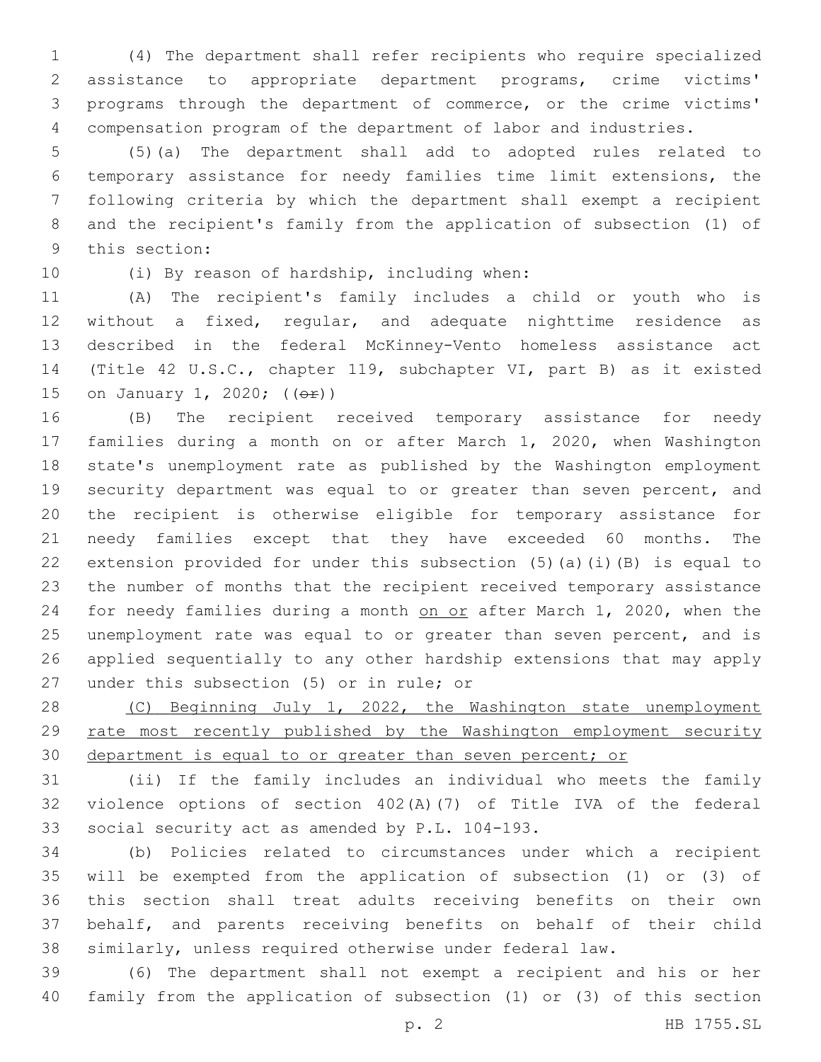(4) The department shall refer recipients who require specialized assistance to appropriate department programs, crime victims' programs through the department of commerce, or the crime victims' compensation program of the department of labor and industries.

 (5)(a) The department shall add to adopted rules related to temporary assistance for needy families time limit extensions, the following criteria by which the department shall exempt a recipient and the recipient's family from the application of subsection (1) of 9 this section:

10 (i) By reason of hardship, including when:

 (A) The recipient's family includes a child or youth who is without a fixed, regular, and adequate nighttime residence as described in the federal McKinney-Vento homeless assistance act (Title 42 U.S.C., chapter 119, subchapter VI, part B) as it existed 15 on January 1, 2020; (( $\Theta$ r))

 (B) The recipient received temporary assistance for needy families during a month on or after March 1, 2020, when Washington state's unemployment rate as published by the Washington employment security department was equal to or greater than seven percent, and the recipient is otherwise eligible for temporary assistance for needy families except that they have exceeded 60 months. The extension provided for under this subsection (5)(a)(i)(B) is equal to the number of months that the recipient received temporary assistance 24 for needy families during a month on or after March 1, 2020, when the unemployment rate was equal to or greater than seven percent, and is applied sequentially to any other hardship extensions that may apply 27 under this subsection (5) or in rule; or

28 (C) Beginning July 1, 2022, the Washington state unemployment rate most recently published by the Washington employment security department is equal to or greater than seven percent; or

 (ii) If the family includes an individual who meets the family violence options of section 402(A)(7) of Title IVA of the federal 33 social security act as amended by P.L. 104-193.

 (b) Policies related to circumstances under which a recipient will be exempted from the application of subsection (1) or (3) of this section shall treat adults receiving benefits on their own behalf, and parents receiving benefits on behalf of their child similarly, unless required otherwise under federal law.

 (6) The department shall not exempt a recipient and his or her family from the application of subsection (1) or (3) of this section